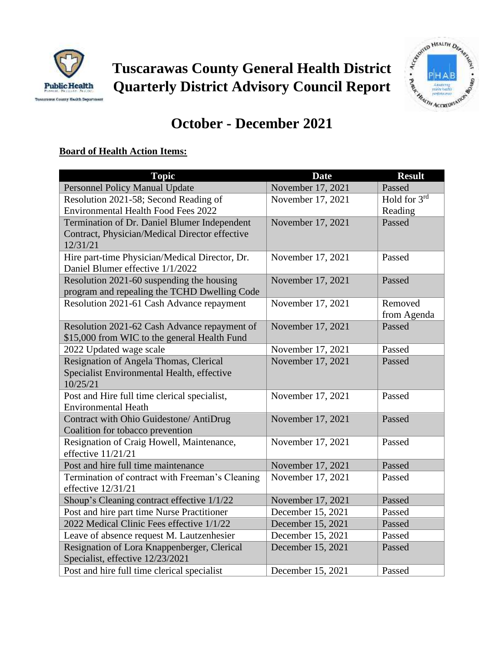

**Tuscarawas County General Health District Quarterly District Advisory Council Report**



# **October - December 2021**

## **Board of Health Action Items:**

| <b>Topic</b>                                    | <b>Date</b>       | <b>Result</b>            |
|-------------------------------------------------|-------------------|--------------------------|
| <b>Personnel Policy Manual Update</b>           | November 17, 2021 | Passed                   |
| Resolution 2021-58; Second Reading of           | November 17, 2021 | Hold for $3^{\text{rd}}$ |
| <b>Environmental Health Food Fees 2022</b>      |                   | Reading                  |
| Termination of Dr. Daniel Blumer Independent    | November 17, 2021 | Passed                   |
| Contract, Physician/Medical Director effective  |                   |                          |
| 12/31/21                                        |                   |                          |
| Hire part-time Physician/Medical Director, Dr.  | November 17, 2021 | Passed                   |
| Daniel Blumer effective 1/1/2022                |                   |                          |
| Resolution 2021-60 suspending the housing       | November 17, 2021 | Passed                   |
| program and repealing the TCHD Dwelling Code    |                   |                          |
| Resolution 2021-61 Cash Advance repayment       | November 17, 2021 | Removed                  |
|                                                 |                   | from Agenda              |
| Resolution 2021-62 Cash Advance repayment of    | November 17, 2021 | Passed                   |
| \$15,000 from WIC to the general Health Fund    |                   |                          |
| 2022 Updated wage scale                         | November 17, 2021 | Passed                   |
| Resignation of Angela Thomas, Clerical          | November 17, 2021 | Passed                   |
| Specialist Environmental Health, effective      |                   |                          |
| 10/25/21                                        |                   |                          |
| Post and Hire full time clerical specialist,    | November 17, 2021 | Passed                   |
| <b>Environmental Heath</b>                      |                   |                          |
| Contract with Ohio Guidestone/ AntiDrug         | November 17, 2021 | Passed                   |
| Coalition for tobacco prevention                |                   |                          |
| Resignation of Craig Howell, Maintenance,       | November 17, 2021 | Passed                   |
| effective $11/21/21$                            |                   |                          |
| Post and hire full time maintenance             | November 17, 2021 | Passed                   |
| Termination of contract with Freeman's Cleaning | November 17, 2021 | Passed                   |
| effective $12/31/21$                            |                   |                          |
| Shoup's Cleaning contract effective 1/1/22      | November 17, 2021 | Passed                   |
| Post and hire part time Nurse Practitioner      | December 15, 2021 | Passed                   |
| 2022 Medical Clinic Fees effective 1/1/22       | December 15, 2021 | Passed                   |
| Leave of absence request M. Lautzenhesier       | December 15, 2021 | Passed                   |
| Resignation of Lora Knappenberger, Clerical     | December 15, 2021 | Passed                   |
| Specialist, effective 12/23/2021                |                   |                          |
| Post and hire full time clerical specialist     | December 15, 2021 | Passed                   |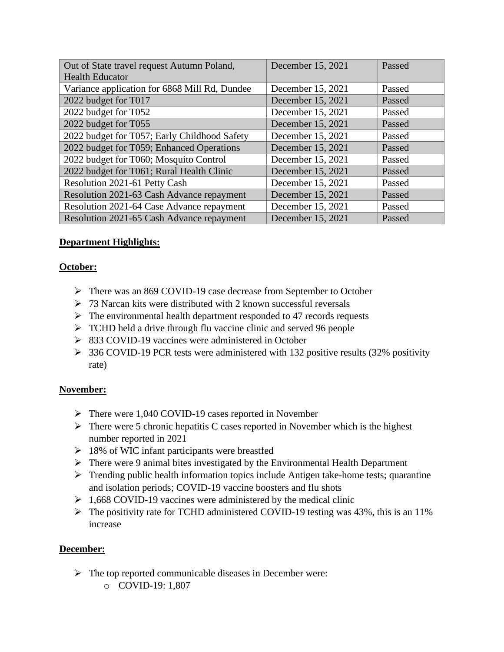| Out of State travel request Autumn Poland,    | December 15, 2021 | Passed |
|-----------------------------------------------|-------------------|--------|
| <b>Health Educator</b>                        |                   |        |
| Variance application for 6868 Mill Rd, Dundee | December 15, 2021 | Passed |
| 2022 budget for T017                          | December 15, 2021 | Passed |
| 2022 budget for T052                          | December 15, 2021 | Passed |
| 2022 budget for T055                          | December 15, 2021 | Passed |
| 2022 budget for T057; Early Childhood Safety  | December 15, 2021 | Passed |
| 2022 budget for T059; Enhanced Operations     | December 15, 2021 | Passed |
| 2022 budget for T060; Mosquito Control        | December 15, 2021 | Passed |
| 2022 budget for T061; Rural Health Clinic     | December 15, 2021 | Passed |
| Resolution 2021-61 Petty Cash                 | December 15, 2021 | Passed |
| Resolution 2021-63 Cash Advance repayment     | December 15, 2021 | Passed |
| Resolution 2021-64 Case Advance repayment     | December 15, 2021 | Passed |
| Resolution 2021-65 Cash Advance repayment     | December 15, 2021 | Passed |

### **Department Highlights:**

#### **October:**

- ➢ There was an 869 COVID-19 case decrease from September to October
- $>$  73 Narcan kits were distributed with 2 known successful reversals
- $\triangleright$  The environmental health department responded to 47 records requests
- ➢ TCHD held a drive through flu vaccine clinic and served 96 people
- ➢ 833 COVID-19 vaccines were administered in October
- ➢ 336 COVID-19 PCR tests were administered with 132 positive results (32% positivity rate)

#### **November:**

- ➢ There were 1,040 COVID-19 cases reported in November
- $\triangleright$  There were 5 chronic hepatitis C cases reported in November which is the highest number reported in 2021
- $\geq 18\%$  of WIC infant participants were breastfed
- ➢ There were 9 animal bites investigated by the Environmental Health Department
- ➢ Trending public health information topics include Antigen take-home tests; quarantine and isolation periods; COVID-19 vaccine boosters and flu shots
- $\geq 1,668$  COVID-19 vaccines were administered by the medical clinic
- ➢ The positivity rate for TCHD administered COVID-19 testing was 43%, this is an 11% increase

#### **December:**

- ➢ The top reported communicable diseases in December were:
	- o COVID-19: 1,807